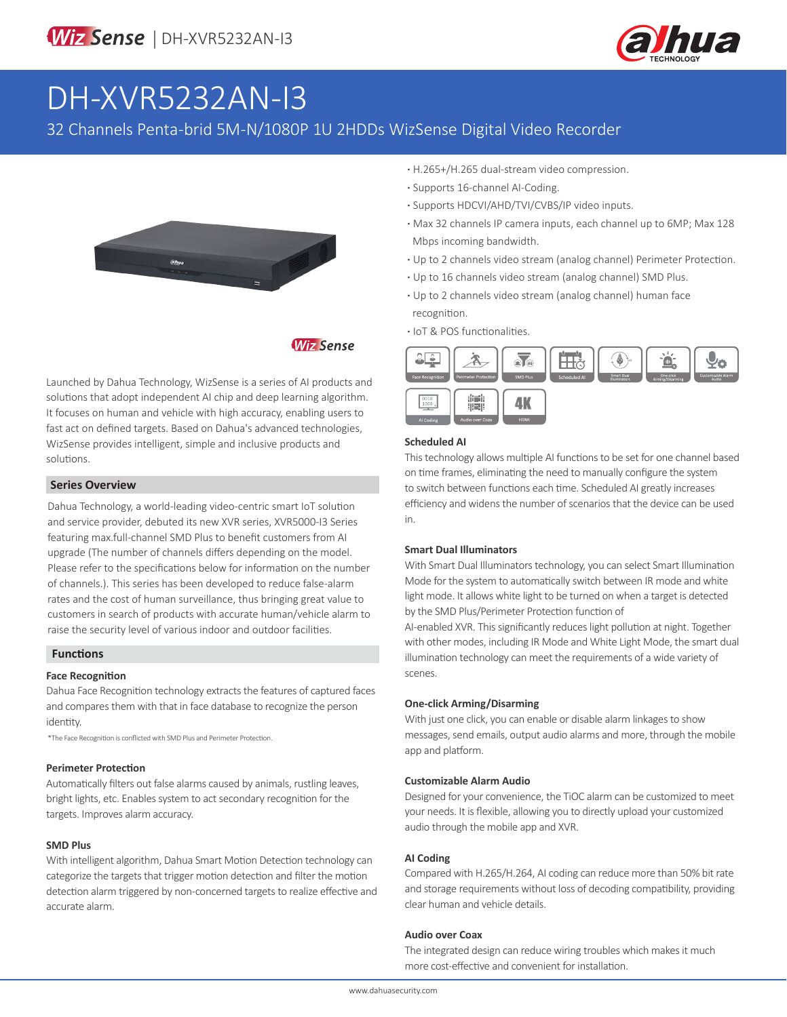

# DH-XVR5232AN-I3

32 Channels Penta-brid 5M-N/1080P 1U 2HDDs WizSense Digital Video Recorder



**Wiz Sense** 

Launched by Dahua Technology, WizSense is a series of AI products and solutions that adopt independent AI chip and deep learning algorithm. It focuses on human and vehicle with high accuracy, enabling users to fast act on defined targets. Based on Dahua's advanced technologies, WizSense provides intelligent, simple and inclusive products and solutions.

#### **Series Overview**

Dahua Technology, a world-leading video-centric smart IoT solution and service provider, debuted its new XVR series, XVR5000-I3 Series featuring max.full-channel SMD Plus to benefit customers from AI upgrade (The number of channels differs depending on the model. Please refer to the specifications below for information on the number of channels.). This series has been developed to reduce false-alarm rates and the cost of human surveillance, thus bringing great value to customers in search of products with accurate human/vehicle alarm to raise the security level of various indoor and outdoor facilities.

#### **Functions**

#### **Face Recognition**

Dahua Face Recognition technology extracts the features of captured faces and compares them with that in face database to recognize the person identity.

\*The Face Recognition is conflicted with SMD Plus and Perimeter Protection.

#### **Perimeter Protection**

Automatically filters out false alarms caused by animals, rustling leaves, bright lights, etc. Enables system to act secondary recognition for the targets. Improves alarm accuracy.

#### **SMD Plus**

With intelligent algorithm, Dahua Smart Motion Detection technology can categorize the targets that trigger motion detection and filter the motion detection alarm triggered by non-concerned targets to realize effective and accurate alarm.

- **·** H.265+/H.265 dual-stream video compression.
- **·** Supports 16-channel AI-Coding.
- **·** Supports HDCVI/AHD/TVI/CVBS/IP video inputs.
- **·** Max 32 channels IP camera inputs, each channel up to 6MP; Max 128 Mbps incoming bandwidth.
- **·** Up to 2 channels video stream (analog channel) Perimeter Protection.
- **·** Up to 16 channels video stream (analog channel) SMD Plus.
- **·** Up to 2 channels video stream (analog channel) human face recognition.
- **·** IoT & POS functionalities.



#### **Scheduled AI**

This technology allows multiple AI functions to be set for one channel based on time frames, eliminating the need to manually configure the system to switch between functions each time. Scheduled AI greatly increases efficiency and widens the number of scenarios that the device can be used in.

#### **Smart Dual Illuminators**

With Smart Dual Illuminators technology, you can select Smart Illumination Mode for the system to automatically switch between IR mode and white light mode. It allows white light to be turned on when a target is detected by the SMD Plus/Perimeter Protection function of

AI-enabled XVR. This significantly reduces light pollution at night. Together with other modes, including IR Mode and White Light Mode, the smart dual illumination technology can meet the requirements of a wide variety of scenes.

#### **One-click Arming/Disarming**

With just one click, you can enable or disable alarm linkages to show messages, send emails, output audio alarms and more, through the mobile app and platform.

#### **Customizable Alarm Audio**

Designed for your convenience, the TiOC alarm can be customized to meet your needs. It is flexible, allowing you to directly upload your customized audio through the mobile app and XVR.

#### **AI Coding**

Compared with H.265/H.264, AI coding can reduce more than 50% bit rate and storage requirements without loss of decoding compatibility, providing clear human and vehicle details.

#### **Audio over Coax**

The integrated design can reduce wiring troubles which makes it much more cost-effective and convenient for installation.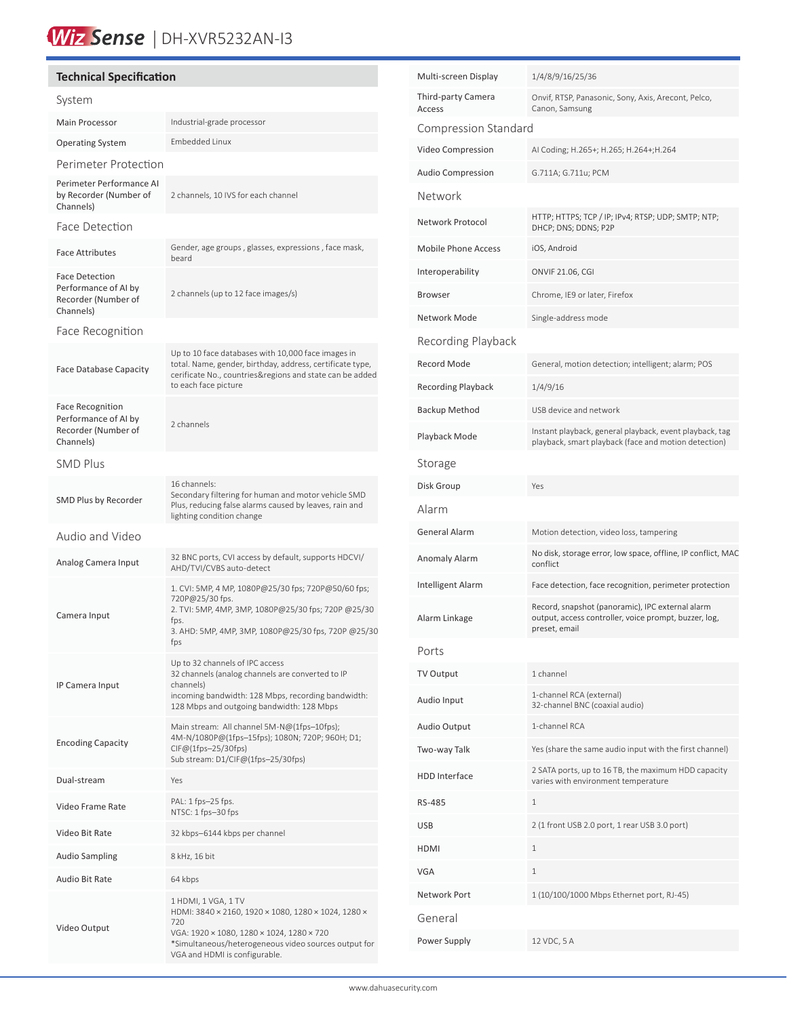## Wiz Sense | DH-XVR5232AN-I3

#### **Technical Specification** System Main Processor **Industrial-grade processor** Operating System Embedded Linux Perimeter Protection Perimeter Performance AI by Recorder (Number of Channels) 2 channels, 10 IVS for each channel Face Detection Face Attributes Gender, age groups , glasses, expressions , face mask, beard Face Detection Performance of AI by Recorder (Number of Channels) 2 channels (up to 12 face images/s) Face Recognition Face Database Capacity Up to 10 face databases with 10,000 face images in total. Name, gender, birthday, address, certificate type, cerificate No., countries&regions and state can be added to each face picture Face Recognition Performance of AI by Recorder (Number of Channels) 2 channels SMD Plus SMD Plus by Recorder 16 channels: Secondary filtering for human and motor vehicle SMD Plus, reducing false alarms caused by leaves, rain and lighting condition change Audio and Video Analog Camera Input 32 BNC ports, CVI access by default, supports HDCVI/ AHD/TVI/CVBS auto-detect Camera Input 1. CVI: 5MP, 4 MP, 1080P@25/30 fps; 720P@50/60 fps; 720P@25/30 fps. 2. TVI: 5MP, 4MP, 3MP, 1080P@25/30 fps; 720P @25/30 fps. 3. AHD: 5MP, 4MP, 3MP, 1080P@25/30 fps, 720P @25/30 fps IP Camera Input Up to 32 channels of IPC access 32 channels (analog channels are converted to IP channels) incoming bandwidth: 128 Mbps, recording bandwidth: 128 Mbps and outgoing bandwidth: 128 Mbps Encoding Capacity Main stream: All channel 5M-N@(1fps–10fps); 4M-N/1080P@(1fps–15fps); 1080N; 720P; 960H; D1; CIF@(1fps–25/30fps) Sub stream: D1/CIF@(1fps–25/30fps) Dual-stream Yes Video Frame Rate PAL: 1 fps–25 fps. NTSC: 1 fps–30 fps Video Bit Rate 32 kbps–6144 kbps per channel Audio Sampling 8 kHz, 16 bit Audio Bit Rate 64 kbps Video Output 1 HDMI, 1 VGA, 1 TV HDMI: 3840 × 2160, 1920 × 1080, 1280 × 1024, 1280 × 720 VGA: 1920 × 1080, 1280 × 1024, 1280 × 720 \*Simultaneous/heterogeneous video sources output for VGA and HDMI is configurable.

| Multi-screen Display         | 1/4/8/9/16/25/36                                                                                                           |  |  |  |
|------------------------------|----------------------------------------------------------------------------------------------------------------------------|--|--|--|
| Third-party Camera<br>Access | Onvif, RTSP, Panasonic, Sony, Axis, Arecont, Pelco,<br>Canon, Samsung                                                      |  |  |  |
| Compression Standard         |                                                                                                                            |  |  |  |
| Video Compression            | AI Coding; H.265+; H.265; H.264+; H.264                                                                                    |  |  |  |
| Audio Compression            | G.711A; G.711u; PCM                                                                                                        |  |  |  |
| Network                      |                                                                                                                            |  |  |  |
| Network Protocol             | HTTP; HTTPS; TCP / IP; IPv4; RTSP; UDP; SMTP; NTP;<br>DHCP; DNS; DDNS; P2P                                                 |  |  |  |
| <b>Mobile Phone Access</b>   | iOS, Android                                                                                                               |  |  |  |
| Interoperability             | ONVIF 21.06, CGI                                                                                                           |  |  |  |
| Browser                      | Chrome, IE9 or later, Firefox                                                                                              |  |  |  |
| Network Mode                 | Single-address mode                                                                                                        |  |  |  |
| Recording Playback           |                                                                                                                            |  |  |  |
| <b>Record Mode</b>           | General, motion detection; intelligent; alarm; POS                                                                         |  |  |  |
| <b>Recording Playback</b>    | 1/4/9/16                                                                                                                   |  |  |  |
| <b>Backup Method</b>         | USB device and network                                                                                                     |  |  |  |
| Playback Mode                | Instant playback, general playback, event playback, tag<br>playback, smart playback (face and motion detection)            |  |  |  |
| Storage                      |                                                                                                                            |  |  |  |
| Disk Group                   | Yes                                                                                                                        |  |  |  |
| Alarm                        |                                                                                                                            |  |  |  |
| General Alarm                | Motion detection, video loss, tampering                                                                                    |  |  |  |
| Anomaly Alarm                | No disk, storage error, low space, offline, IP conflict, MAC<br>conflict                                                   |  |  |  |
| Intelligent Alarm            | Face detection, face recognition, perimeter protection                                                                     |  |  |  |
| Alarm Linkage                | Record, snapshot (panoramic), IPC external alarm<br>output, access controller, voice prompt, buzzer, log,<br>preset, email |  |  |  |
| Ports                        |                                                                                                                            |  |  |  |
| TV Output                    | 1 channel                                                                                                                  |  |  |  |
| Audio Input                  | 1-channel RCA (external)<br>32-channel BNC (coaxial audio)                                                                 |  |  |  |
| Audio Output                 | 1-channel RCA                                                                                                              |  |  |  |
| Two-way Talk                 | Yes (share the same audio input with the first channel)                                                                    |  |  |  |
| HDD Interface                | 2 SATA ports, up to 16 TB, the maximum HDD capacity<br>varies with environment temperature                                 |  |  |  |
| RS-485                       | 1                                                                                                                          |  |  |  |
| <b>USB</b>                   | 2 (1 front USB 2.0 port, 1 rear USB 3.0 port)                                                                              |  |  |  |
| HDMI                         | 1                                                                                                                          |  |  |  |
| VGA                          | 1                                                                                                                          |  |  |  |
| Network Port                 | 1 (10/100/1000 Mbps Ethernet port, RJ-45)                                                                                  |  |  |  |
| General                      |                                                                                                                            |  |  |  |
| Power Supply                 | 12 VDC, 5 A                                                                                                                |  |  |  |
|                              |                                                                                                                            |  |  |  |